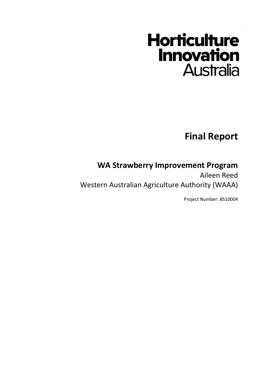# **Horticulture Innovation Australia**

**Final Report**

# **WA Strawberry Improvement Program**

Aileen Reed Western Australian Agriculture Authority (WAAA)

Project Number: BS10004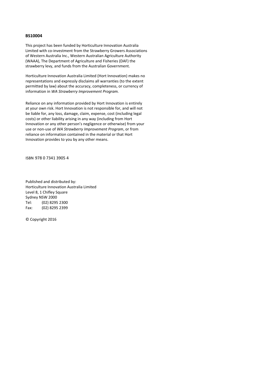#### **BS10004**

This project has been funded by Horticulture Innovation Australia Limited with co-investment from the Strawberry Growers Associations of Western Australia Inc., Western Australian Agriculture Authority (WAAA), The Department of Agriculture and Fisheries (DAF) the strawberry levy, and funds from the Australian Government.

Horticulture Innovation Australia Limited (Hort Innovation) makes no representations and expressly disclaims all warranties (to the extent permitted by law) about the accuracy, completeness, or currency of information in *WA Strawberry Improvement Program.*

Reliance on any information provided by Hort Innovation is entirely at your own risk. Hort Innovation is not responsible for, and will not be liable for, any loss, damage, claim, expense, cost (including legal costs) or other liability arising in any way (including from Hort Innovation or any other person's negligence or otherwise) from your use or non-use of *WA Strawberry Improvement Program*, or from reliance on information contained in the material or that Hort Innovation provides to you by any other means.

ISBN 978 0 7341 3905 4

Published and distributed by: Horticulture Innovation Australia Limited Level 8, 1 Chifley Square Sydney NSW 2000 Tel: (02) 8295 2300 Fax: (02) 8295 2399

© Copyright 2016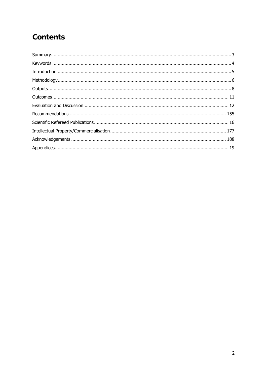# **Contents**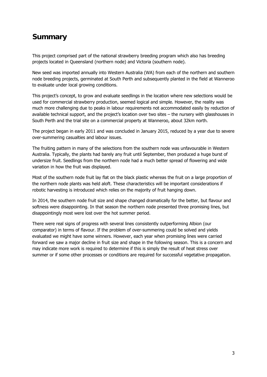# **Summary**

This project comprised part of the national strawberry breeding program which also has breeding projects located in Queensland (northern node) and Victoria (southern node).

New seed was imported annually into Western Australia (WA) from each of the northern and southern node breeding projects, germinated at South Perth and subsequently planted in the field at Wanneroo to evaluate under local growing conditions.

This project's concept, to grow and evaluate seedlings in the location where new selections would be used for commercial strawberry production, seemed logical and simple. However, the reality was much more challenging due to peaks in labour requirements not accommodated easily by reduction of available technical support, and the project's location over two sites – the nursery with glasshouses in South Perth and the trial site on a commercial property at Wanneroo, about 32km north.

The project began in early 2011 and was concluded in January 2015, reduced by a year due to severe over-summering casualties and labour issues.

The fruiting pattern in many of the selections from the southern node was unfavourable in Western Australia. Typically, the plants had barely any fruit until September, then produced a huge burst of undersize fruit. Seedlings from the northern node had a much better spread of flowering and wide variation in how the fruit was displayed.

Most of the southern node fruit lay flat on the black plastic whereas the fruit on a large proportion of the northern node plants was held aloft. These characteristics will be important considerations if robotic harvesting is introduced which relies on the majority of fruit hanging down.

In 2014, the southern node fruit size and shape changed dramatically for the better, but flavour and softness were disappointing. In that season the northern node presented three promising lines, but disappointingly most were lost over the hot summer period.

There were real signs of progress with several lines consistently outperforming Albion (our comparator) in terms of flavour. If the problem of over-summering could be solved and yields evaluated we might have some winners. However, each year when promising lines were carried forward we saw a major decline in fruit size and shape in the following season. This is a concern and may indicate more work is required to determine if this is simply the result of heat stress over summer or if some other processes or conditions are required for successful vegetative propagation.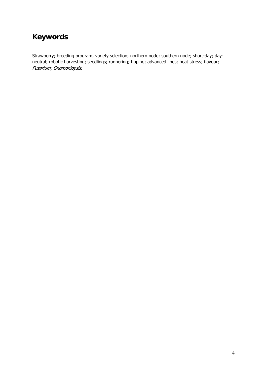# **Keywords**

Strawberry; breeding program; variety selection; northern node; southern node; short-day; dayneutral; robotic harvesting; seedlings; runnering; tipping; advanced lines; heat stress; flavour; Fusarium; Gnomoniopsis.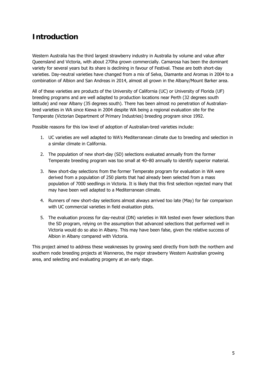# **Introduction**

Western Australia has the third largest strawberry industry in Australia by volume and value after Queensland and Victoria, with about 270ha grown commercially. Camarosa has been the dominant variety for several years but its share is declining in favour of Festival. These are both short-day varieties. Day-neutral varieties have changed from a mix of Selva, Diamante and Aromas in 2004 to a combination of Albion and San Andreas in 2014, almost all grown in the Albany/Mount Barker area.

All of these varieties are products of the University of California (UC) or University of Florida (UF) breeding programs and are well adapted to production locations near Perth (32 degrees south latitude) and near Albany (35 degrees south). There has been almost no penetration of Australianbred varieties in WA since Kiewa in 2004 despite WA being a regional evaluation site for the Temperate (Victorian Department of Primary Industries) breeding program since 1992.

Possible reasons for this low level of adoption of Australian-bred varieties include:

- 1. UC varieties are well adapted to WA's Mediterranean climate due to breeding and selection in a similar climate in California.
- 2. The population of new short-day (SD) selections evaluated annually from the former Temperate breeding program was too small at 40–80 annually to identify superior material.
- 3. New short-day selections from the former Temperate program for evaluation in WA were derived from a population of 250 plants that had already been selected from a mass population of 7000 seedlings in Victoria. It is likely that this first selection rejected many that may have been well adapted to a Mediterranean climate.
- 4. Runners of new short-day selections almost always arrived too late (May) for fair comparison with UC commercial varieties in field evaluation plots.
- 5. The evaluation process for day-neutral (DN) varieties in WA tested even fewer selections than the SD program, relying on the assumption that advanced selections that performed well in Victoria would do so also in Albany. This may have been false, given the relative success of Albion in Albany compared with Victoria.

This project aimed to address these weaknesses by growing seed directly from both the northern and southern node breeding projects at Wanneroo, the major strawberry Western Australian growing area, and selecting and evaluating progeny at an early stage.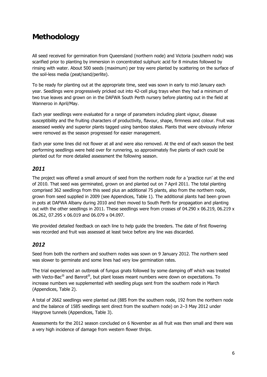# **Methodology**

All seed received for germination from Queensland (northern node) and Victoria (southern node) was scarified prior to planting by immersion in concentrated sulphuric acid for 8 minutes followed by rinsing with water. About 500 seeds (maximum) per tray were planted by scattering on the surface of the soil-less media (peat/sand/perlite).

To be ready for planting out at the appropriate time, seed was sown in early to mid-January each year. Seedlings were progressively pricked out into 42-cell plug trays when they had a minimum of two true leaves and grown on in the DAFWA South Perth nursery before planting out in the field at Wanneroo in April/May.

Each year seedlings were evaluated for a range of parameters including plant vigour, disease susceptibility and the fruiting characters of productivity, flavour, shape, firmness and colour. Fruit was assessed weekly and superior plants tagged using bamboo stakes. Plants that were obviously inferior were removed as the season progressed for easier management.

Each year some lines did not flower at all and were also removed. At the end of each season the best performing seedlings were held over for runnering, so approximately five plants of each could be planted out for more detailed assessment the following season.

### *2011*

The project was offered a small amount of seed from the northern node for a 'practice run' at the end of 2010. That seed was germinated, grown on and planted out on 7 April 2011. The total planting comprised 362 seedlings from this seed plus an additional 75 plants, also from the northern node, grown from seed supplied in 2009 (see Appendices, Table 1). The additional plants had been grown in pots at DAFWA Albany during 2010 and then moved to South Perth for propagation and planting out with the other seedlings in 2011. These seedlings were from crosses of 04.290 x 06.219, 06.219 x 06.262, 07.295 x 06.019 and 06.079 x 04.097.

We provided detailed feedback on each line to help guide the breeders. The date of first flowering was recorded and fruit was assessed at least twice before any line was discarded.

### *2012*

Seed from both the northern and southern nodes was sown on 9 January 2012. The northern seed was slower to germinate and some lines had very low germination rates.

The trial experienced an outbreak of fungus gnats followed by some damping off which was treated with Vecto-Bac<sup>®</sup> and Banrot<sup>®</sup>, but plant losses meant numbers were down on expectations. To increase numbers we supplemented with seedling plugs sent from the southern node in March (Appendices, Table 2).

A total of 2662 seedlings were planted out (885 from the southern node, 192 from the northern node and the balance of 1585 seedlings sent direct from the southern node) on 2–3 May 2012 under Haygrove tunnels (Appendices, Table 3).

Assessments for the 2012 season concluded on 6 November as all fruit was then small and there was a very high incidence of damage from western flower thrips.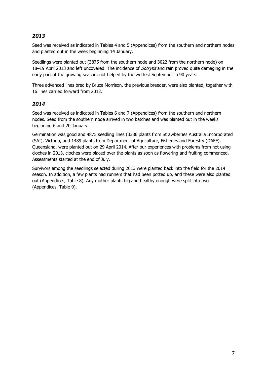### *2013*

Seed was received as indicated in Tables 4 and 5 (Appendices) from the southern and northern nodes and planted out in the week beginning 14 January.

Seedlings were planted out (3875 from the southern node and 3022 from the northern node) on 18–19 April 2013 and left uncovered. The incidence of *Botrytis* and rain proved quite damaging in the early part of the growing season, not helped by the wettest September in 90 years.

Three advanced lines bred by Bruce Morrison, the previous breeder, were also planted, together with 16 lines carried forward from 2012.

#### *2014*

Seed was received as indicated in Tables 6 and 7 (Appendices) from the southern and northern nodes. Seed from the southern node arrived in two batches and was planted out in the weeks beginning 6 and 20 January.

Germination was good and 4875 seedling lines (3386 plants from Strawberries Australia Incorporated (SAI), Victoria, and 1489 plants from Department of Agriculture, Fisheries and Forestry (DAFF), Queensland, were planted out on 29 April 2014. After our experiences with problems from not using cloches in 2013, cloches were placed over the plants as soon as flowering and fruiting commenced. Assessments started at the end of July.

Survivors among the seedlings selected during 2013 were planted back into the field for the 2014 season. In addition, a few plants had runners that had been potted up, and these were also planted out (Appendices, Table 8). Any mother plants big and healthy enough were split into two (Appendices, Table 9).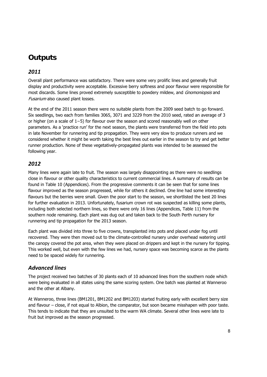# **Outputs**

### *2011*

Overall plant performance was satisfactory. There were some very prolific lines and generally fruit display and productivity were acceptable. Excessive berry softness and poor flavour were responsible for most discards. Some lines proved extremely susceptible to powdery mildew, and *Gnomoniopsis* and Fusarium also caused plant losses.

At the end of the 2011 season there were no suitable plants from the 2009 seed batch to go forward. Six seedlings, two each from families 3065, 3071 and 3229 from the 2010 seed, rated an average of 3 or higher (on a scale of 1−5) for flavour over the season and scored reasonably well on other parameters. As a 'practice run' for the next season, the plants were transferred from the field into pots in late November for runnering and tip propagation. They were very slow to produce runners and we considered whether it might be worth taking the best lines out earlier in the season to try and get better runner production. None of these vegetatively-propagated plants was intended to be assessed the following year.

### *2012*

Many lines were again late to fruit. The season was largely disappointing as there were no seedlings close in flavour or other quality characteristics to current commercial lines. A summary of results can be found in Table 10 (Appendices). From the progressive comments it can be seen that for some lines flavour improved as the season progressed, while for others it declined. One line had some interesting flavours but the berries were small. Given the poor start to the season, we shortlisted the best 20 lines for further evaluation in 2013. Unfortunately, fusarium crown rot was suspected as killing some plants, including both selected northern lines, so there were only 16 lines (Appendices, Table 11) from the southern node remaining. Each plant was dug out and taken back to the South Perth nursery for runnering and tip propagation for the 2013 season.

Each plant was divided into three to five crowns, transplanted into pots and placed under fog until recovered. They were then moved out to the climate-controlled nursery under overhead watering until the canopy covered the pot area, when they were placed on drippers and kept in the nursery for tipping. This worked well, but even with the few lines we had, nursery space was becoming scarce as the plants need to be spaced widely for runnering.

### *Advanced lines*

The project received two batches of 30 plants each of 10 advanced lines from the southern node which were being evaluated in all states using the same scoring system. One batch was planted at Wanneroo and the other at Albany.

At Wanneroo, three lines (BM1201, BM1202 and BM1203) started fruiting early with excellent berry size and flavour – close, if not equal to Albion, the comparator, but soon became misshapen with poor taste. This tends to indicate that they are unsuited to the warm WA climate. Several other lines were late to fruit but improved as the season progressed.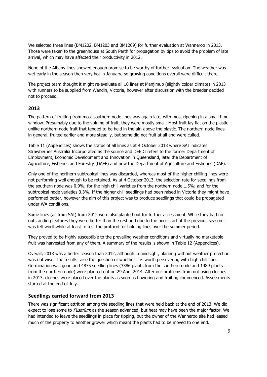We selected three lines (BM1202, BM1203 and BM1209) for further evaluation at Wanneroo in 2013. Those were taken to the greenhouse at South Perth for propagation by tips to avoid the problem of late arrival, which may have affected their productivity in 2012.

None of the Albany lines showed enough promise to be worthy of further evaluation. The weather was wet early in the season then very hot in January, so growing conditions overall were difficult there.

The project team thought it might re-evaluate all 10 lines at Manjimup (slightly colder climate) in 2013 with runners to be supplied from Wandin, Victoria, however after discussion with the breeder decided not to proceed.

#### **2013**

The pattern of fruiting from most southern node lines was again late, with most ripening in a small time window. Presumably due to the volume of fruit, they were mostly small. Most fruit lay flat on the plastic unlike northern node fruit that tended to be held in the air, above the plastic. The northern node lines, in general, fruited earlier and more steadily, but some did not fruit at all and were culled.

Table 11 (Appendices) shows the status of all lines as at 4 October 2013 where SAI indicates Strawberries Australia Incorporated as the source and DEEDI refers to the former Department of Employment, Economic Development and Innovation in Queensland, later the Department of Agriculture, Fisheries and Forestry (DAFF) and now the Department of Agriculture and Fisheries (DAF).

Only one of the northern subtropical lines was discarded, whereas most of the higher chilling lines were not performing well enough to be retained. As at 4 October 2013, the selection rate for seedlings from the southern node was 0.9%; for the high chill varieties from the northern node 1.5%; and for the subtropical node varieties 3.3%. If the higher chill seedlings had been raised in Victoria they might have performed better, however the aim of this project was to produce seedlings that could be propagated under WA conditions.

Some lines (all from SAI) from 2012 were also planted out for further assessment. While they had no outstanding features they were better than the rest and due to the poor start of the previous season it was felt worthwhile at least to test the protocol for holding lines over the summer period.

They proved to be highly susceptible to the prevailing weather conditions and virtually no marketable fruit was harvested from any of them. A summary of the results is shown in Table 12 (Appendices).

Overall, 2013 was a better season than 2012, although in hindsight, planting without weather protection was not wise. The results raise the question of whether it is worth persevering with high chill lines. Germination was good and 4875 seedling lines (3386 plants from the southern node and 1489 plants from the northern node) were planted out on 29 April 2014. After our problems from not using cloches in 2013, cloches were placed over the plants as soon as flowering and fruiting commenced. Assessments started at the end of July.

#### **Seedlings carried forward from 2013**

There was significant attrition among the seedling lines that were held back at the end of 2013. We did expect to lose some to *Fusarium* as the season advanced, but heat may have been the major factor. We had intended to leave the seedlings in place for tipping, but the owner of the Wanneroo site had leased much of the property to another grower which meant the plants had to be moved to one end.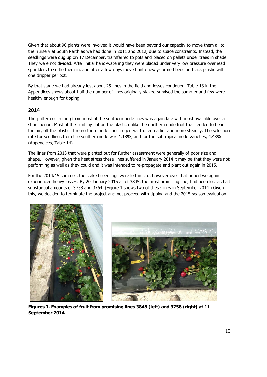Given that about 90 plants were involved it would have been beyond our capacity to move them all to the nursery at South Perth as we had done in 2011 and 2012, due to space constraints. Instead, the seedlings were dug up on 17 December, transferred to pots and placed on pallets under trees in shade. They were not divided. After initial hand-watering they were placed under very low pressure overhead sprinklers to settle them in, and after a few days moved onto newly-formed beds on black plastic with one dripper per pot.

By that stage we had already lost about 25 lines in the field and losses continued. Table 13 in the Appendices shows about half the number of lines originally staked survived the summer and few were healthy enough for tipping.

#### **2014**

The pattern of fruiting from most of the southern node lines was again late with most available over a short period. Most of the fruit lay flat on the plastic unlike the northern node fruit that tended to be in the air, off the plastic. The northern node lines in general fruited earlier and more steadily. The selection rate for seedlings from the southern node was 1.18%, and for the subtropical node varieties, 4.43% (Appendices, Table 14).

The lines from 2013 that were planted out for further assessment were generally of poor size and shape. However, given the heat stress these lines suffered in January 2014 it may be that they were not performing as well as they could and it was intended to re-propagate and plant out again in 2015.

For the 2014/15 summer, the staked seedlings were left in situ, however over that period we again experienced heavy losses. By 20 January 2015 all of 3845, the most promising line, had been lost as had substantial amounts of 3758 and 3764. (Figure 1 shows two of these lines in September 2014.) Given this, we decided to terminate the project and not proceed with tipping and the 2015 season evaluation.





**Figures 1. Examples of fruit from promising lines 3845 (left) and 3758 (right) at 11 September 2014**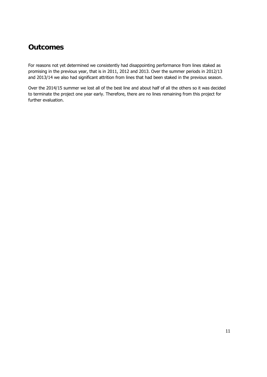## **Outcomes**

For reasons not yet determined we consistently had disappointing performance from lines staked as promising in the previous year, that is in 2011, 2012 and 2013. Over the summer periods in 2012/13 and 2013/14 we also had significant attrition from lines that had been staked in the previous season.

Over the 2014/15 summer we lost all of the best line and about half of all the others so it was decided to terminate the project one year early. Therefore, there are no lines remaining from this project for further evaluation.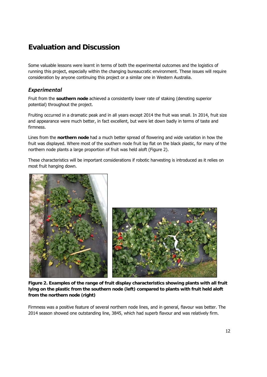# **Evaluation and Discussion**

Some valuable lessons were learnt in terms of both the experimental outcomes and the logistics of running this project, especially within the changing bureaucratic environment. These issues will require consideration by anyone continuing this project or a similar one in Western Australia.

### *Experimental*

Fruit from the **southern node** achieved a consistently lower rate of staking (denoting superior potential) throughout the project.

Fruiting occurred in a dramatic peak and in all years except 2014 the fruit was small. In 2014, fruit size and appearance were much better, in fact excellent, but were let down badly in terms of taste and firmness.

Lines from the **northern node** had a much better spread of flowering and wide variation in how the fruit was displayed. Where most of the southern node fruit lay flat on the black plastic, for many of the northern node plants a large proportion of fruit was held aloft (Figure 2).

These characteristics will be important considerations if robotic harvesting is introduced as it relies on most fruit hanging down.





**Figure 2. Examples of the range of fruit display characteristics showing plants with all fruit lying on the plastic from the southern node (left) compared to plants with fruit held aloft from the northern node (right)** 

Firmness was a positive feature of several northern node lines, and in general, flavour was better. The 2014 season showed one outstanding line, 3845, which had superb flavour and was relatively firm.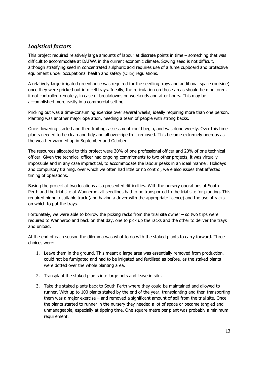### *Logistical factors*

This project required relatively large amounts of labour at discrete points in time – something that was difficult to accommodate at DAFWA in the current economic climate. Sowing seed is not difficult, although stratifying seed in concentrated sulphuric acid requires use of a fume cupboard and protective equipment under occupational health and safety (OHS) regulations.

A relatively large irrigated greenhouse was required for the seedling trays and additional space (outside) once they were pricked out into cell trays. Ideally, the reticulation on those areas should be monitored, if not controlled remotely, in case of breakdowns on weekends and after hours. This may be accomplished more easily in a commercial setting.

Pricking out was a time-consuming exercise over several weeks, ideally requiring more than one person. Planting was another major operation, needing a team of people with strong backs.

Once flowering started and then fruiting, assessment could begin, and was done weekly. Over this time plants needed to be clean and tidy and all over-ripe fruit removed. This became extremely onerous as the weather warmed up in September and October.

The resources allocated to this project were 30% of one professional officer and 20% of one technical officer. Given the technical officer had ongoing commitments to two other projects, it was virtually impossible and in any case impractical, to accommodate the labour peaks in an ideal manner. Holidays and compulsory training, over which we often had little or no control, were also issues that affected timing of operations.

Basing the project at two locations also presented difficulties. With the nursery operations at South Perth and the trial site at Wanneroo, all seedlings had to be transported to the trial site for planting. This required hiring a suitable truck (and having a driver with the appropriate licence) and the use of racks on which to put the trays.

Fortunately, we were able to borrow the picking racks from the trial site owner – so two trips were required to Wanneroo and back on that day, one to pick up the racks and the other to deliver the trays and unload.

At the end of each season the dilemma was what to do with the staked plants to carry forward. Three choices were:

- 1. Leave them in the ground. This meant a large area was essentially removed from production, could not be fumigated and had to be irrigated and fertilised as before, as the staked plants were dotted over the whole planting area.
- 2. Transplant the staked plants into large pots and leave in situ.
- 3. Take the staked plants back to South Perth where they could be maintained and allowed to runner. With up to 100 plants staked by the end of the year, transplanting and then transporting them was a major exercise – and removed a significant amount of soil from the trial site. Once the plants started to runner in the nursery they needed a lot of space or became tangled and unmanageable, especially at tipping time. One square metre per plant was probably a minimum requirement.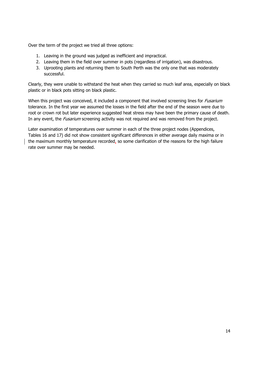Over the term of the project we tried all three options:

- 1. Leaving in the ground was judged as inefficient and impractical.
- 2. Leaving them in the field over summer in pots (regardless of irrigation), was disastrous.
- 3. Uprooting plants and returning them to South Perth was the only one that was moderately successful.

Clearly, they were unable to withstand the heat when they carried so much leaf area, especially on black plastic or in black pots sitting on black plastic.

When this project was conceived, it included a component that involved screening lines for *Fusarium* tolerance. In the first year we assumed the losses in the field after the end of the season were due to root or crown rot but later experience suggested heat stress may have been the primary cause of death. In any event, the *Fusarium* screening activity was not required and was removed from the project.

Later examination of temperatures over summer in each of the three project nodes (Appendices, Tables 16 and 17) did not show consistent significant differences in either average daily maxima or in the maximum monthly temperature recorded, so some clarification of the reasons for the high failure rate over summer may be needed.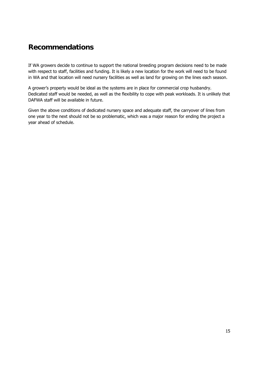### **Recommendations**

If WA growers decide to continue to support the national breeding program decisions need to be made with respect to staff, facilities and funding. It is likely a new location for the work will need to be found in WA and that location will need nursery facilities as well as land for growing on the lines each season.

A grower's property would be ideal as the systems are in place for commercial crop husbandry. Dedicated staff would be needed, as well as the flexibility to cope with peak workloads. It is unlikely that DAFWA staff will be available in future.

Given the above conditions of dedicated nursery space and adequate staff, the carryover of lines from one year to the next should not be so problematic, which was a major reason for ending the project a year ahead of schedule.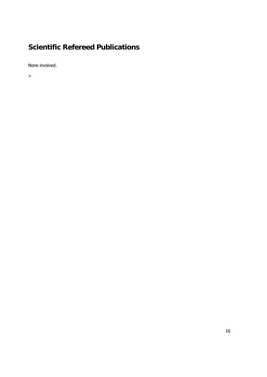# **Scientific Refereed Publications**

None involved.

>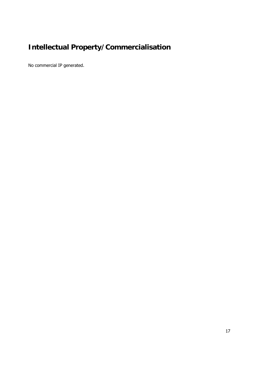# **Intellectual Property/Commercialisation**

No commercial IP generated.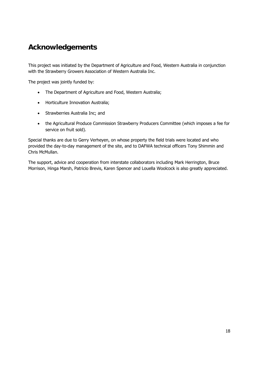## **Acknowledgements**

This project was initiated by the Department of Agriculture and Food, Western Australia in conjunction with the Strawberry Growers Association of Western Australia Inc.

The project was jointly funded by:

- The Department of Agriculture and Food, Western Australia;
- Horticulture Innovation Australia;
- Strawberries Australia Inc; and
- the Agricultural Produce Commission Strawberry Producers Committee (which imposes a fee for service on fruit sold).

Special thanks are due to Gerry Verheyen, on whose property the field trials were located and who provided the day-to-day management of the site, and to DAFWA technical officers Tony Shimmin and Chris McMullan.

The support, advice and cooperation from interstate collaborators including Mark Herrington, Bruce Morrison, Hinga Marsh, Patricio Brevis, Karen Spencer and Louella Woolcock is also greatly appreciated.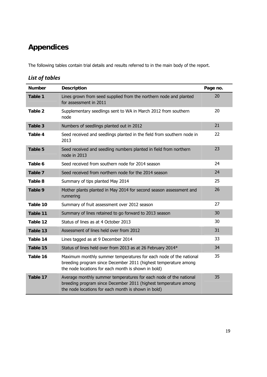# **Appendices**

The following tables contain trial details and results referred to in the main body of the report.

### *List of tables*

| <b>Number</b> | <b>Description</b>                                                                                                                                                                          | Page no. |
|---------------|---------------------------------------------------------------------------------------------------------------------------------------------------------------------------------------------|----------|
| Table 1       | Lines grown from seed supplied from the northern node and planted<br>for assessment in 2011                                                                                                 | 20       |
| Table 2       | Supplementary seedlings sent to WA in March 2012 from southern<br>node                                                                                                                      | 20       |
| Table 3       | Numbers of seedlings planted out in 2012                                                                                                                                                    | 21       |
| Table 4       | Seed received and seedlings planted in the field from southern node in<br>2013                                                                                                              | 22       |
| Table 5       | Seed received and seedling numbers planted in field from northern<br>node in 2013                                                                                                           | 23       |
| Table 6       | Seed received from southern node for 2014 season                                                                                                                                            | 24       |
| Table 7       | Seed received from northern node for the 2014 season                                                                                                                                        | 24       |
| Table 8       | Summary of tips planted May 2014                                                                                                                                                            | 25       |
| Table 9       | Mother plants planted in May 2014 for second season assessment and<br>runnering                                                                                                             | 26       |
| Table 10      | Summary of fruit assessment over 2012 season                                                                                                                                                | 27       |
| Table 11      | Summary of lines retained to go forward to 2013 season                                                                                                                                      | 30       |
| Table 12      | Status of lines as at 4 October 2013                                                                                                                                                        | 30       |
| Table 13      | Assessment of lines held over from 2012                                                                                                                                                     | 31       |
| Table 14      | Lines tagged as at 9 December 2014                                                                                                                                                          | 33       |
| Table 15      | Status of lines held over from 2013 as at 26 February 2014*                                                                                                                                 | 34       |
| Table 16      | Maximum monthly summer temperatures for each node of the national<br>breeding program since December 2011 (highest temperature among<br>the node locations for each month is shown in bold) | 35       |
| Table 17      | Average monthly summer temperatures for each node of the national<br>breeding program since December 2011 (highest temperature among<br>the node locations for each month is shown in bold) | 35       |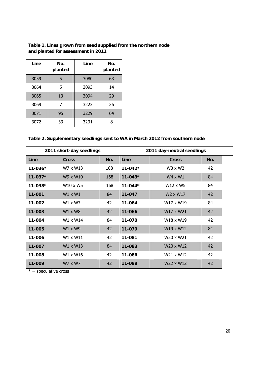| Line | No.<br>planted | Line | No.<br>planted |
|------|----------------|------|----------------|
| 3059 | 5              | 3080 | 63             |
| 3064 | 5              | 3093 | 14             |
| 3065 | 13             | 3094 | 29             |
| 3069 | 7              | 3223 | 26             |
| 3071 | 95             | 3229 | 64             |
| 3072 | 33             | 3231 | 8              |

**Table 1. Lines grown from seed supplied from the northern node and planted for assessment in 2011** 

| Table 2. Supplementary seedlings sent to WA in March 2012 from southern node |  |
|------------------------------------------------------------------------------|--|
|------------------------------------------------------------------------------|--|

|             | 2011 short-day seedlings |     |             | 2011 day-neutral seedlings        |     |
|-------------|--------------------------|-----|-------------|-----------------------------------|-----|
| Line        | <b>Cross</b>             | No. | Line        | <b>Cross</b>                      | No. |
| $11 - 036*$ | W7 x W13                 | 168 | $11-042*$   | W3 x W2                           | 42  |
| $11 - 037*$ | W9 x W10                 | 168 | $11 - 043*$ | $W4 \times W1$                    | 84  |
| $11 - 038*$ | $W10 \times W5$          | 168 | $11-044*$   | W12 x W5                          | 84  |
| $11 - 001$  | $W1 \times W1$           | 84  | 11-047      | W <sub>2</sub> x W <sub>17</sub>  | 42  |
| 11-002      | $W1 \times W7$           | 42  | 11-064      | W <sub>17</sub> x W <sub>19</sub> | 84  |
| 11-003      | $W1 \times W8$           | 42  | 11-066      | W <sub>17</sub> x W <sub>21</sub> | 42  |
| 11-004      | W1 x W14                 | 84  | 11-070      | W18 x W19                         | 42  |
| 11-005      | W1 x W9                  | 42  | 11-079      | W <sub>19</sub> x W <sub>12</sub> | 84  |
| 11-006      | W1 x W11                 | 42  | 11-081      | W20 x W21                         | 42  |
| 11-007      | W1 x W13                 | 84  | 11-083      | W20 x W12                         | 42  |
| 11-008      | W1 x W16                 | 42  | 11-086      | W <sub>21</sub> x W <sub>12</sub> | 42  |
| 11-009      | W7 x W7                  | 42  | 11-088      | W22 x W12                         | 42  |

 $* =$  speculative cross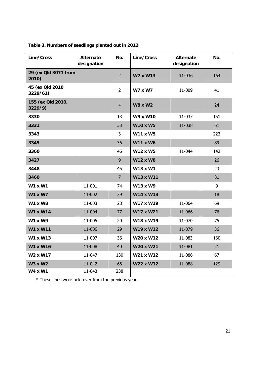| Line/Cross                       | <b>Alternate</b><br>designation | No.            | Line/Cross       | <b>Alternate</b><br>designation | No. |
|----------------------------------|---------------------------------|----------------|------------------|---------------------------------|-----|
| 29 (ex Qld 3071 from<br>2010)    |                                 | $\overline{2}$ | <b>W7 x W13</b>  | 11-036                          | 164 |
| 45 (ex Qld 2010<br>3229/61)      |                                 | $\overline{2}$ | <b>W7 x W7</b>   | 11-009                          | 41  |
| 155 (ex Qld 2010,<br>3229/9)     |                                 | $\overline{4}$ | <b>W8 x W2</b>   |                                 | 24  |
| 3330                             |                                 | 13             | W9 x W10         | 11-037                          | 151 |
| 3331                             |                                 | 33             | <b>W10 x W5</b>  | 11-038                          | 61  |
| 3343                             |                                 | 3              | <b>W11 x W5</b>  |                                 | 223 |
| 3345                             |                                 | 36             | <b>W11 x W6</b>  |                                 | 89  |
| 3360                             |                                 | 46             | W12 x W5         | 11-044                          | 142 |
| 3427                             |                                 | 9              | <b>W12 x W8</b>  |                                 | 26  |
| 3448                             |                                 | 45             | W13 x W1         |                                 | 23  |
| 3460                             |                                 | $\overline{7}$ | W13 x W11        |                                 | 81  |
| <b>W1 x W1</b>                   | 11-001                          | 74             | W13 x W9         |                                 | 9   |
| <b>W1 x W7</b>                   | 11-002                          | 39             | <b>W14 x W13</b> |                                 | 18  |
| <b>W1 x W8</b>                   | 11-003                          | 28             | W17 x W19        | 11-064                          | 69  |
| <b>W1 x W14</b>                  | 11-004                          | 77             | W17 x W21        | 11-066                          | 76  |
| <b>W1 x W9</b>                   | 11-005                          | 20             | W18 x W19        | 11-070                          | 75  |
| <b>W1 x W11</b>                  | 11-006                          | 29             | W19 x W12        | 11-079                          | 36  |
| W1 x W13                         | 11-007                          | 36             | W20 x W12        | 11-083                          | 160 |
| <b>W1 x W16</b>                  | 11-008                          | 40             | W20 x W21        | 11-081                          | 21  |
| W <sub>2</sub> x W <sub>17</sub> | 11-047                          | 130            | W21 x W12        | 11-086                          | 67  |
| <b>W3 x W2</b>                   | 11-042                          | 66             | W22 x W12        | 11-088                          | 129 |
| <b>W4 x W1</b>                   | 11-043                          | 238            |                  |                                 |     |

### **Table 3. Numbers of seedlings planted out in 2012**

\* These lines were held over from the previous year.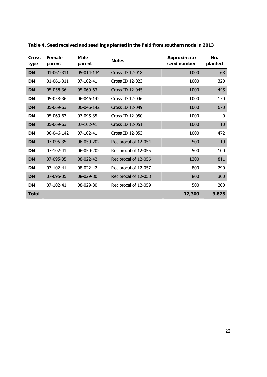| <b>Cross</b><br>type | Female<br>parent | Male<br>parent  | <b>Notes</b>         | Approximate<br>seed number | No.<br>planted |
|----------------------|------------------|-----------------|----------------------|----------------------------|----------------|
| <b>DN</b>            | 01-061-311       | 05-014-134      | Cross ID 12-018      | 1000                       | 68             |
| <b>DN</b>            | 01-061-311       | 07-102-41       | Cross ID 12-023      | 1000                       | 320            |
| <b>DN</b>            | 05-058-36        | 05-069-63       | Cross ID 12-045      | 1000                       | 445            |
| <b>DN</b>            | 05-058-36        | 06-046-142      | Cross ID 12-046      | 1000                       | 170            |
| <b>DN</b>            | 05-069-63        | 06-046-142      | Cross ID 12-049      | 1000                       | 670            |
| <b>DN</b>            | 05-069-63        | 07-095-35       | Cross ID 12-050      | 1000                       | $\mathbf{0}$   |
| <b>DN</b>            | 05-069-63        | $07 - 102 - 41$ | Cross ID 12-051      | 1000                       | 10             |
| <b>DN</b>            | $06 - 046 - 142$ | 07-102-41       | Cross ID 12-053      | 1000                       | 472            |
| <b>DN</b>            | 07-095-35        | 06-050-202      | Reciprocal of 12-054 | 500                        | 19             |
| <b>DN</b>            | 07-102-41        | 06-050-202      | Reciprocal of 12-055 | 500                        | 100            |
| <b>DN</b>            | 07-095-35        | 08-022-42       | Reciprocal of 12-056 | 1200                       | 811            |
| <b>DN</b>            | 07-102-41        | 08-022-42       | Reciprocal of 12-057 | 800                        | 290            |
| <b>DN</b>            | 07-095-35        | 08-029-80       | Reciprocal of 12-058 | 800                        | 300            |
| <b>DN</b>            | 07-102-41        | 08-029-80       | Reciprocal of 12-059 | 500                        | 200            |
| <b>Total</b>         |                  |                 |                      | 12,300                     | 3,875          |

**Table 4. Seed received and seedlings planted in the field from southern node in 2013**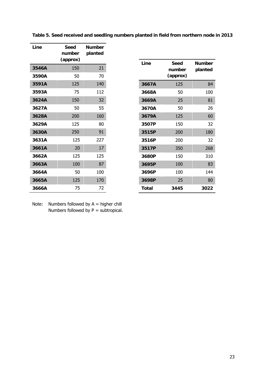| Line  | Seed<br>number<br>(approx) | <b>Number</b><br>planted |
|-------|----------------------------|--------------------------|
| 3546A | 150                        | 21                       |
| 3590A | 50                         | 70                       |
| 3591A | 125                        | 140                      |
| 3593A | 75                         | 112                      |
| 3624A | 150                        | 32                       |
| 3627A | 50                         | 55                       |
| 3628A | 200                        | 160                      |
| 3629A | 125                        | 80                       |
| 3630A | 250                        | 91                       |
| 3631A | 125                        | 227                      |
| 3661A | 20                         | 17                       |
| 3662A | 125                        | 125                      |
| 3663A | 100                        | 87                       |
| 3664A | 50                         | 100                      |
| 3665A | 125                        | 170                      |
| 3666A | 75                         | 72                       |

| Line  | Seed<br>number<br>(approx) | <b>Number</b><br>planted |
|-------|----------------------------|--------------------------|
| 3667A | 125                        | 84                       |
| 3668A | 50                         | 100                      |
| 3669A | 25                         | 81                       |
| 3670A | 50                         | 26                       |
| 3679A | 125                        | 60                       |
| 3507P | 150                        | 32                       |
| 3515P | 200                        | 180                      |
| 3516P | 200                        | 32                       |
| 3517P | 350                        | 268                      |
| 3680P | 150                        | 310                      |
| 3695P | 100                        | 83                       |
| 3696P | 100                        | 144                      |
| 3698P | 25                         | 80                       |
| Total | 3445                       | 3022                     |

**Table 5. Seed received and seedling numbers planted in field from northern node in 2013** 

Note: Numbers followed by  $A =$  higher chill Numbers followed by P = subtropical.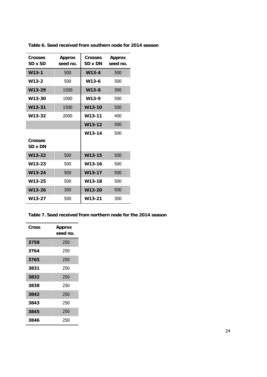| <b>Crosses</b><br>SD x SD | <b>Approx</b><br>seed no. | Crosses<br>SD x DN | <b>Approx</b><br>seed no. |
|---------------------------|---------------------------|--------------------|---------------------------|
| $W13-1$                   | 500                       | $W13-4$            | 500                       |
| W13-2                     | 500                       | W <sub>13-6</sub>  | 500                       |
| W13-29                    | 1500                      | $W13-8$            | 300                       |
| W13-30                    | 1000                      | W13-9              | 500                       |
| W13-31                    | 1500                      | W13-10             | 500                       |
| W13-32                    | 2000                      | W13-11             | 400                       |
|                           |                           | $W13-12$           | 500                       |
| <b>Crosses</b><br>SD x DN |                           | W13-14             | 500                       |
| $W13-22$                  | 500                       | $W13-15$           | 500                       |
| W13-23                    | 500                       | W13-16             | 500                       |
| $W13 - 24$                | 500                       | $W13-17$           | 500                       |
| W13-25                    | 500                       | W13-18             | 500                       |
| W13-26                    | 300                       | $W13-20$           | 500                       |
| W13-27                    | 500                       | W13-21             | 300                       |

**Table 6. Seed received from southern node for 2014 season** 

| Table 7. Seed received from northern node for the 2014 season |
|---------------------------------------------------------------|
|---------------------------------------------------------------|

| Cross | Approx<br>seed no. |  |
|-------|--------------------|--|
| 3758  | 250                |  |
| 3764  | 250                |  |
| 3765  | 250                |  |
| 3831  | 250                |  |
| 3832  | 250                |  |
| 3838  | 250                |  |
| 3842  | 250                |  |
| 3843  | 250                |  |
| 3845  | 250                |  |
| 3846  | 250                |  |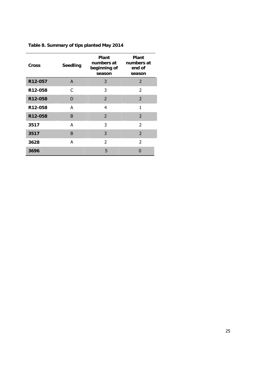| <b>Cross</b>         | <b>Seedling</b> | Plant<br>numbers at<br>beginning of<br>season | Plant<br>numbers at<br>end of<br>season |  |
|----------------------|-----------------|-----------------------------------------------|-----------------------------------------|--|
| R12-057              | A               | 3                                             | $\overline{2}$                          |  |
| R <sub>12</sub> -058 | C               | 3                                             | $\mathcal{P}$                           |  |
| R12-058              | D               | $\overline{2}$                                | $\overline{2}$                          |  |
| R12-058              | A               | 4                                             | 1                                       |  |
| R12-058              | B               | $\overline{2}$                                | $\overline{2}$                          |  |
| 3517                 | A               | 3                                             | $\overline{2}$                          |  |
| 3517                 | B               | 3                                             | $\overline{2}$                          |  |
| 3628                 | A               | $\overline{\phantom{a}}$                      | $\overline{\phantom{a}}$                |  |
| 3696                 |                 | 5                                             |                                         |  |

### **Table 8. Summary of tips planted May 2014**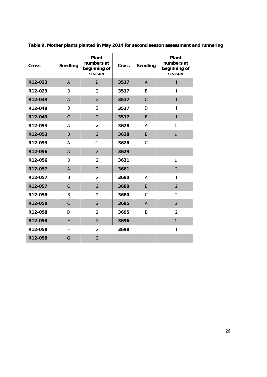| <b>Cross</b> | <b>Seedling</b> | Plant<br>numbers at<br>beginning of<br>season | <b>Cross</b> | <b>Seedling</b> | Plant<br>numbers at<br>beginning of<br>season |
|--------------|-----------------|-----------------------------------------------|--------------|-----------------|-----------------------------------------------|
| R12-023      | A               | $\overline{2}$                                | 3517         | A               | $\mathbf{1}$                                  |
| R12-023      | B               | $\overline{2}$                                | 3517         | B               | $\mathbf{1}$                                  |
| R12-049      | $\overline{A}$  | $\overline{2}$                                | 3517         | $\mathsf{C}$    | $\mathbf{1}$                                  |
| R12-049      | B               | $\overline{2}$                                | 3517         | D               | $\mathbf{1}$                                  |
| R12-049      | $\mathsf{C}$    | $\overline{2}$                                | 3517         | E               | $\mathbf{1}$                                  |
| R12-053      | A               | $\overline{2}$                                | 3628         | A               | $\mathbf{1}$                                  |
| R12-053      | B               | $\overline{2}$                                | 3628         | B               | $\mathbf{1}$                                  |
| R12-053      | A               | 4                                             | 3628         | C               |                                               |
| R12-056      | A               | $\overline{2}$                                | 3629         |                 |                                               |
| R12-056      | B               | $\overline{2}$                                | 3631         |                 | $\mathbf{1}$                                  |
| R12-057      | $\overline{A}$  | $\overline{2}$                                | 3661         |                 | $\overline{2}$                                |
| R12-057      | B               | $\overline{2}$                                | 3680         | A               | 1                                             |
| R12-057      | $\overline{C}$  | $\overline{2}$                                | 3680         | B               | $\overline{2}$                                |
| R12-058      | B               | $\overline{2}$                                | 3680         | C               | 2                                             |
| R12-058      | $\mathsf{C}$    | $\overline{2}$                                | 3695         | $\mathsf{A}$    | $\overline{2}$                                |
| R12-058      | D               | $\overline{2}$                                | 3695         | B               | $\overline{2}$                                |
| R12-058      | E               | $\overline{2}$                                | 3696         |                 | $\mathbf{1}$                                  |
| R12-058      | F               | $\overline{2}$                                | 3698         |                 | $\mathbf{1}$                                  |
| R12-058      | G               | $\overline{2}$                                |              |                 |                                               |

**Table 9. Mother plants planted in May 2014 for second season assessment and runnering**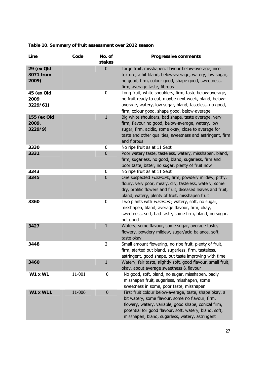| Line                            | Code   | No. of<br>stakes | <b>Progressive comments</b>                                                                                                                                                                                                                                                     |
|---------------------------------|--------|------------------|---------------------------------------------------------------------------------------------------------------------------------------------------------------------------------------------------------------------------------------------------------------------------------|
| 29 (ex Old                      |        | $\bf{0}$         | Large fruit, misshapen, flavour below-average, nice                                                                                                                                                                                                                             |
| 3071 from<br>2009)              |        |                  | texture, a bit bland, below-average, watery, low sugar,<br>no good, firm, colour good, shape good, sweetness,<br>firm, average taste, fibrous                                                                                                                                   |
| 45 (ex Qld<br>2009<br>3229/61)  |        | 0                | Long fruit, white shoulders, firm, taste below-average,<br>no fruit ready to eat, maybe next week, bland, below-<br>average, watery, low sugar, bland, tasteless, no good,<br>firm, colour good, shape good, below-average                                                      |
| 155 (ex Old<br>2009,<br>3229/9) |        | $\mathbf{1}$     | Big white shoulders, bad shape, taste average, very<br>firm, flavour no good, below-average, watery, low<br>sugar, firm, acidic, some okay, close to average for<br>taste and other qualities, sweetness and astringent, firm<br>and fibrous                                    |
| 3330                            |        | 0                | No ripe fruit as at 11 Sept                                                                                                                                                                                                                                                     |
| 3331                            |        | $\bf{0}$         | Poor watery taste, tasteless, watery, misshapen, bland,<br>firm, sugarless, no good, bland, sugarless, firm and<br>poor taste, bitter, no sugar, plenty of fruit now                                                                                                            |
| 3343                            |        | 0                | No ripe fruit as at 11 Sept                                                                                                                                                                                                                                                     |
| 3345                            |        | $\bf{0}$         | One suspected Fusarium, firm, powdery mildew, pithy,<br>floury, very poor, mealy, dry, tasteless, watery, some<br>dry, prolific flowers and fruit, diseased leaves and fruit,<br>bland, watery, plenty of fruit, misshapen fruit                                                |
| 3360                            |        | 0                | Two plants with <i>Fusarium</i> , watery, soft, no sugar,<br>misshapen, bland, average flavour, firm, okay,<br>sweetness, soft, bad taste, some firm, bland, no sugar,<br>not good                                                                                              |
| 3427                            |        | $\mathbf{1}$     | Watery, some flavour, some sugar, average taste,<br>flowery, powdery mildew, sugar/acid balance, soft,<br>taste okay                                                                                                                                                            |
| 3448                            |        | $\overline{2}$   | Small amount flowering, no ripe fruit, plenty of fruit,<br>firm, started out bland, sugarless, firm, tasteless,<br>astringent, good shape, but taste improving with time                                                                                                        |
| 3460                            |        | $\mathbf{1}$     | Watery, fair taste, slightly soft, good flavour, small fruit,<br>okay, about average sweetness & flavour                                                                                                                                                                        |
| <b>W1 x W1</b>                  | 11-001 | 0                | No good, soft, bland, no sugar, misshapen, badly<br>misshapen fruit, sugarless, misshapen, some<br>sweetness in some, poor taste, misshapen                                                                                                                                     |
| <b>W1 x W11</b>                 | 11-006 | $\mathbf 0$      | First fruit colour below-average, taste, shape okay, a<br>bit watery, some flavour, some no flavour, firm,<br>flowery, watery, variable, good shape, conical firm,<br>potential for good flavour, soft, watery, bland, soft,<br>misshapen, bland, sugarless, watery, astringent |

### **Table 10. Summary of fruit assessment over 2012 season**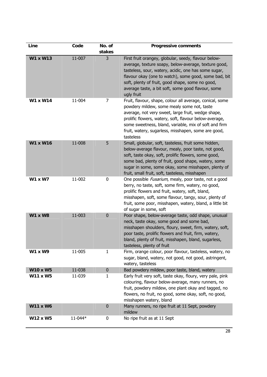| Line            | Code    | No. of       | <b>Progressive comments</b>                                                                                                                                                                                                                                                                                                                           |
|-----------------|---------|--------------|-------------------------------------------------------------------------------------------------------------------------------------------------------------------------------------------------------------------------------------------------------------------------------------------------------------------------------------------------------|
|                 |         | stakes       |                                                                                                                                                                                                                                                                                                                                                       |
| <b>W1 x W13</b> | 11-007  | 3            | First fruit orangey, globular, seedy, flavour below-<br>average, texture soapy, below-average, texture good,<br>tasteless, sour, watery, acidic, one has some sugar,<br>flavour okay (one to watch), some good, some bad, bit<br>soft, plenty of fruit, good shape, some no good,<br>average taste, a bit soft, some good flavour, some<br>ugly fruit |
| W1 x W14        | 11-004  | 7            | Fruit, flavour, shape, colour all average, conical, some<br>powdery mildew, some mealy some not, taste<br>average, not very sweet, large fruit, wedge shape,<br>prolific flowers, watery, soft, flavour below-average,<br>some sweetness, bland, variable, mix of soft and firm<br>fruit, watery, sugarless, misshapen, some are good,<br>tasteless   |
| <b>W1 x W16</b> | 11-008  | 5            | Small, globular, soft, tasteless, fruit some hidden,<br>below-average flavour, mealy, poor taste, not good,<br>soft, taste okay, soft, prolific flowers, some good,<br>some bad, plenty of fruit, good shape, watery, some<br>sugar in some, some okay, some misshapen, plenty of<br>fruit, small fruit, soft, tasteless, misshapen                   |
| <b>W1 x W7</b>  | 11-002  | 0            | One possible <i>Fusarium</i> , mealy, poor taste, not a good<br>berry, no taste, soft, some firm, watery, no good,<br>prolific flowers and fruit, watery, soft, bland,<br>misshapen, soft, some flavour, tangy, sour, plenty of<br>fruit, some poor, misshapen, watery, bland, a little bit<br>of sugar in some, soft                                 |
| <b>W1 x W8</b>  | 11-003  | $\bf{0}$     | Poor shape, below-average taste, odd shape, unusual<br>neck, taste okay, some good and some bad,<br>misshapen shoulders, floury, sweet, firm, watery, soft,<br>poor taste, prolific flowers and fruit, firm, watery,<br>bland, plenty of fruit, misshapen, bland, sugarless,<br>tasteless, plenty of fruit                                            |
| <b>W1 x W9</b>  | 11-005  | 1            | Firm, orange colour, poor flavour, tasteless, watery, no<br>sugar, bland, watery, not good, not good, astringent,<br>watery, tasteless                                                                                                                                                                                                                |
| <b>W10 x W5</b> | 11-038  | $\pmb{0}$    | Bad powdery mildew, poor taste, bland, watery                                                                                                                                                                                                                                                                                                         |
| <b>W11 x W5</b> | 11-039  | $\mathbf{1}$ | Early fruit very soft, taste okay, floury, very pale, pink<br>colouring, flavour below-average, many runners, no<br>fruit, powdery mildew, one plant okay and tagged, no<br>flowers, no fruit, no good, some okay, soft, no good,<br>misshapen watery, bland                                                                                          |
| <b>W11 x W6</b> |         | $\mathbf 0$  | Many runners, no ripe fruit at 11 Sept, powdery<br>mildew                                                                                                                                                                                                                                                                                             |
| W12 x W5        | 11-044* | 0            | No ripe fruit as at 11 Sept                                                                                                                                                                                                                                                                                                                           |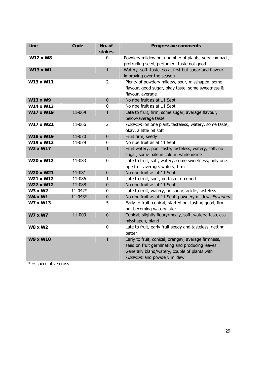| Line            | Code    | No. of<br>stakes | <b>Progressive comments</b>                                                                                                                                                            |
|-----------------|---------|------------------|----------------------------------------------------------------------------------------------------------------------------------------------------------------------------------------|
| <b>W12 x W8</b> |         | 0                | Powdery mildew on a number of plants, very compact,<br>protruding seed, perfumed, taste not good                                                                                       |
| W13 x W1        |         | $\mathbf{1}$     | Watery, soft, tasteless at first but sugar and flavour<br>improving over the season                                                                                                    |
| W13 x W11       |         | $\overline{2}$   | Plenty of powdery mildew, sour, misshapen, some<br>flavour, good sugar, okay taste, some sweetness &<br>flavour, average                                                               |
| <b>W13 x W9</b> |         | $\mathbf 0$      | No ripe fruit as at 11 Sept                                                                                                                                                            |
| W14 x W13       |         | 0                | No ripe fruit as at 11 Sept                                                                                                                                                            |
| W17 x W19       | 11-064  | $\mathbf{1}$     | Late to fruit, firm, some sugar, average flavour,<br>below-average taste                                                                                                               |
| W17 x W21       | 11-066  | $\overline{2}$   | Fusarium on one plant, tasteless, watery, some taste,<br>okay, a little bit soft                                                                                                       |
| W18 x W19       | 11-070  | $\pmb{0}$        | Fruit firm, seedy                                                                                                                                                                      |
| W19 x W12       | 11-079  | $\mathbf 0$      | No ripe fruit as at 11 Sept                                                                                                                                                            |
| W2 x W17        |         | $\mathbf{1}$     | Fruit watery, poor taste, tasteless, watery, soft, no<br>sugar, some pale in colour, white inside                                                                                      |
| W20 x W12       | 11-083  | $\mathbf 0$      | Late to fruit, soft, watery, some sweetness, only one<br>ripe fruit average, watery, firm                                                                                              |
| W20 x W21       | 11-081  | $\pmb{0}$        | No ripe fruit as at 11 Sept                                                                                                                                                            |
| W21 x W12       | 11-086  | $\mathbf{1}$     | Late to fruit, sour, no taste, no good                                                                                                                                                 |
| W22 x W12       | 11-088  | $\pmb{0}$        | No ripe fruit as at 11 Sept                                                                                                                                                            |
| <b>W3 x W2</b>  | 11-042* | 0                | Late to fruit, watery, no sugar, acidic, tasteless                                                                                                                                     |
| <b>W4 x W1</b>  | 11-043* | $\pmb{0}$        | No ripe fruit as at 11 Sept, powdery mildew, Fusarium                                                                                                                                  |
| W7 x W13        |         | 5                | Early to fruit, conical, started out tasting good, firm<br>but becoming watery later                                                                                                   |
| <b>W7 x W7</b>  | 11-009  | $\mathbf 0$      | Conical, slightly floury/mealy, soft, watery, tasteless,<br>misshapen, bland                                                                                                           |
| <b>W8 x W2</b>  |         | $\mathbf 0$      | Late to fruit, early fruit seedy and tasteless, getting<br>better                                                                                                                      |
| <b>W9 x W10</b> |         | $\mathbf{1}$     | Early to fruit, conical, orangey, average firmness,<br>seed on fruit germinating and producing leaves.<br>Generally bland/watery, couple of plants with<br>Fusarium and powdery mildew |

 $* =$  speculative cross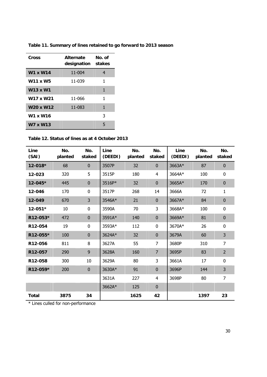| Cross                             | <b>Alternate</b><br>designation stakes | No. of |  |  |
|-----------------------------------|----------------------------------------|--------|--|--|
| W1 x W14                          | 11-004                                 | 4      |  |  |
| <b>W11 x W5</b>                   | 11-039                                 | 1      |  |  |
| W13 x W1                          |                                        | 1      |  |  |
| W17 x W21                         | 11-066                                 | 1      |  |  |
| W <sub>20</sub> x W <sub>12</sub> | 11-083                                 | 1      |  |  |
| W1 x W16                          |                                        | 3      |  |  |
| W7 x W13                          |                                        | 5      |  |  |

**Table 11. Summary of lines retained to go forward to 2013 season** 

**Table 12. Status of lines as at 4 October 2013** 

| Line<br>(SAI) | No.<br>planted | No.<br>staked | Line<br>(DEEDI) | No.<br>planted | No.<br>staked  | Line<br>(DEEDI) | No.<br>planted | No.<br>staked  |
|---------------|----------------|---------------|-----------------|----------------|----------------|-----------------|----------------|----------------|
| 12-018*       | 68             | $\mathbf 0$   | 3507P           | 32             | $\mathbf 0$    | 3663A*          | 87             | $\bf{0}$       |
| 12-023        | 320            | 5             | 3515P           | 180            | 4              | 3664A*          | 100            | 0              |
| 12-045*       | 445            | $\mathbf 0$   | 3516P*          | 32             | $\mathbf{0}$   | 3665A*          | 170            | $\mathbf 0$    |
| 12-046        | 170            | 0             | 3517P           | 268            | 14             | 3666A           | 72             | 1              |
| 12-049        | 670            | 3             | 3546A*          | 21             | $\mathbf{0}$   | 3667A*          | 84             | $\bf{0}$       |
| $12 - 051*$   | 10             | 0             | 3590A           | 70             | 3              | 3668A*          | 100            | 0              |
| R12-053*      | 472            | $\mathbf 0$   | 3591A*          | 140            | $\mathbf{0}$   | 3669A*          | 81             | $\mathbf 0$    |
| R12-054       | 19             | 0             | 3593A*          | 112            | $\mathbf 0$    | 3670A*          | 26             | 0              |
| R12-055*      | 100            | $\mathbf 0$   | 3624A*          | 32             | $\mathbf{0}$   | 3679A           | 60             | 3              |
| R12-056       | 811            | 8             | 3627A           | 55             | $\overline{7}$ | 3680P           | 310            | $\overline{7}$ |
| R12-057       | 290            | 9             | 3628A           | 160            | $\overline{7}$ | 3695P           | 83             | $\overline{2}$ |
| R12-058       | 300            | 10            | 3629A           | 80             | 3              | 3661A           | 17             | 0              |
| R12-059*      | 200            | $\pmb{0}$     | 3630A*          | 91             | $\mathbf 0$    | 3696P           | 144            | 3              |
|               |                |               | 3631A           | 227            | 4              | 3698P           | 80             | $\overline{7}$ |
|               |                |               | 3662A*          | 125            | $\mathbf{0}$   |                 |                |                |
| <b>Total</b>  | 3875           | 34            |                 | 1625           | 42             |                 | 1397           | 23             |

\* Lines culled for non-performance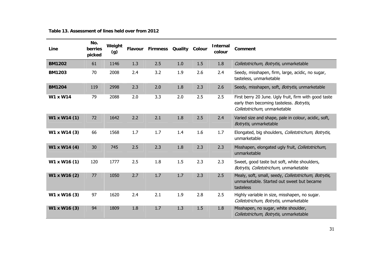| Line          | No.<br>berries<br>picked | Weight<br>(g) | <b>Flavour</b> | <b>Firmness</b> | Quality Colour |     | <b>Internal</b><br>colour | Comment                                                                                                                           |
|---------------|--------------------------|---------------|----------------|-----------------|----------------|-----|---------------------------|-----------------------------------------------------------------------------------------------------------------------------------|
| <b>BM1202</b> | 61                       | 1146          | 1.3            | 2.5             | 1.0            | 1.5 | 1.8                       | Colletotrichum, Botrytis, unmarketable                                                                                            |
| <b>BM1203</b> | 70                       | 2008          | 2.4            | 3.2             | 1.9            | 2.6 | 2.4                       | Seedy, misshapen, firm, large, acidic, no sugar,<br>tasteless, unmarketable                                                       |
| <b>BM1204</b> | 119                      | 2998          | 2.3            | 2.0             | 1.8            | 2.3 | 2.6                       | Seedy, misshapen, soft, Botrytis, unmarketable                                                                                    |
| W1 x W14      | 79                       | 2088          | 2.0            | 3.3             | 2.0            | 2.5 | 2.5                       | First berry 20 June. Ugly fruit, firm with good taste<br>early then becoming tasteless. Botrytis,<br>Colletotrichum, unmarketable |
| W1 x W14 (1)  | 72                       | 1642          | 2.2            | 2.1             | 1.8            | 2.5 | 2.4                       | Varied size and shape, pale in colour, acidic, soft,<br>Botrytis, unmarketable                                                    |
| W1 x W14 (3)  | 66                       | 1568          | 1.7            | 1.7             | 1.4            | 1.6 | 1.7                       | Elongated, big shoulders, Colletotrichum, Botrytis,<br>unmarketable                                                               |
| W1 x W14 (4)  | 30                       | 745           | 2.5            | 2.3             | 1.8            | 2.3 | 2.3                       | Misshapen, elongated ugly fruit, Colletotrichum,<br>unmarketable                                                                  |
| W1 x W16 (1)  | 120                      | 1777          | 2.5            | 1.8             | 1.5            | 2.3 | 2.3                       | Sweet, good taste but soft, white shoulders,<br>Botrytis, Colletotrichum, unmarketable                                            |
| W1 x W16 (2)  | 77                       | 1050          | 2.7            | 1.7             | 1.7            | 2.3 | 2.5                       | Mealy, soft, small, seedy, Colletotrichum, Botrytis,<br>unmarketable. Started out sweet but became<br>tasteless                   |
| W1 x W16 (3)  | 97                       | 1620          | 2.4            | 2.1             | 1.9            | 2.8 | 2.5                       | Highly variable in size, misshapen, no sugar.<br>Colletotrichum, Botrytis, unmarketable                                           |
| W1 x W16 (3)  | 94                       | 1809          | 1.8            | 1.7             | 1.3            | 1.5 | 1.8                       | Misshapen, no sugar, white shoulder,<br>Colletotrichum, Botrytis, unmarketable                                                    |

**Table 13. Assessment of lines held over from 2012**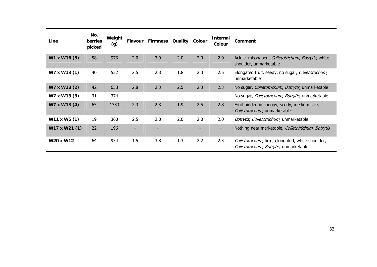| Line          | No.<br><b>berries</b><br>picked | Weight<br>(g) | <b>Flavour</b>           | <b>Firmness Quality</b> |                          | Colour | <b>Internal</b><br>Colour | Comment                                                                                    |
|---------------|---------------------------------|---------------|--------------------------|-------------------------|--------------------------|--------|---------------------------|--------------------------------------------------------------------------------------------|
| W1 x W16 (5)  | 58                              | 973           | 2.0                      | 3.0                     | 2.0                      | 2.0    | 2.0                       | Acidic, misshapen, Colletotrichum, Botrytis, white<br>shoulder, unmarketable               |
| W7 x W13 (1)  | 40                              | 552           | 2.5                      | 2.3                     | 1.8                      | 2.3    | 2.5                       | Elongated fruit, seedy, no sugar, Colletotrichum,<br>unmarketable                          |
| W7 x W13 (2)  | 42                              | 658           | 2.8                      | 2.3                     | 2.5                      | 2.3    | 2.3                       | No sugar, Colletotrichum, Botrytis, unmarketable                                           |
| W7 x W13 (3)  | 31                              | 374           | $\overline{\phantom{a}}$ |                         | $\overline{\phantom{a}}$ |        | -                         | No sugar, Colletotrichum, Botrytis, unmarketable                                           |
| W7 x W13 (4)  | 65                              | 1333          | 2.3                      | 2.3                     | 1.9                      | 2.5    | 2.8                       | Fruit hidden in canopy, seedy, medium size,<br>Colletotrichum, unmarketable                |
| W11 x W5 (1)  | 19                              | 360           | 2.5                      | 2.0                     | 2.0                      | 2.0    | 2.0                       | Botrytis, Colletotrichum, unmarketable                                                     |
| W17 x W21 (1) | 22                              | 196           |                          |                         |                          |        |                           | Nothing near marketable, Colletotrichum, Botrytis                                          |
| W20 x W12     | 64                              | 954           | 1.5                      | 3.8                     | 1.3                      | 2.2    | 2.3                       | Colletotrichum, firm, elongated, white shoulder,<br>Colletotrichum, Botrytis, unmarketable |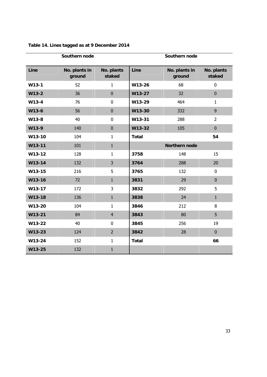|         | Southern node           |                      | Southern node        |                         |                      |  |  |  |
|---------|-------------------------|----------------------|----------------------|-------------------------|----------------------|--|--|--|
| Line    | No. plants in<br>ground | No. plants<br>staked | Line                 | No. plants in<br>ground | No. plants<br>staked |  |  |  |
| $W13-1$ | 52                      | $\mathbf{1}$         | W13-26               | 68                      | $\mathbf 0$          |  |  |  |
| $W13-2$ | 36                      | $\mathbf 0$          | W13-27               | 32                      | $\mathbf 0$          |  |  |  |
| $W13-4$ | 76                      | $\mathbf 0$          | W13-29               | 464                     | $\mathbf{1}$         |  |  |  |
| W13-6   | 56                      | $\mathbf 0$          | W13-30               | 332                     | $\overline{9}$       |  |  |  |
| W13-8   | 40                      | $\mathbf 0$          | W13-31               | 288                     | $\overline{2}$       |  |  |  |
| W13-9   | 140                     | $\pmb{0}$            | W13-32               | 105                     | $\pmb{0}$            |  |  |  |
| W13-10  | 104                     | $\mathbf{1}$         | <b>Total</b>         |                         | 54                   |  |  |  |
| W13-11  | 101                     | $\mathbf{1}$         | <b>Northern node</b> |                         |                      |  |  |  |
| W13-12  | 128                     | $\mathbf{1}$         | 3758                 | 148                     | 15                   |  |  |  |
| W13-14  | 132                     | 3                    | 3764                 | 288                     | 20                   |  |  |  |
| W13-15  | 216                     | 5                    | 3765                 | 132                     | $\mathbf 0$          |  |  |  |
| W13-16  | 72                      | $\mathbf{1}$         | 3831                 | 29                      | $\mathbf 0$          |  |  |  |
| W13-17  | 172                     | 3                    | 3832                 | 292                     | 5                    |  |  |  |
| W13-18  | 136                     | $\mathbf 1$          | 3838                 | 24                      | $\mathbf{1}$         |  |  |  |
| W13-20  | 104                     | $\mathbf{1}$         | 3846                 | 212                     | 8                    |  |  |  |
| W13-21  | 84                      | $\overline{4}$       | 3843                 | 80                      | 5                    |  |  |  |
| W13-22  | 40                      | $\mathbf 0$          | 3845                 | 256                     | 19                   |  |  |  |
| W13-23  | 124                     | $\overline{2}$       | 3842                 | 28                      | $\mathbf 0$          |  |  |  |
| W13-24  | 152                     | $\mathbf{1}$         | <b>Total</b>         |                         | 66                   |  |  |  |
| W13-25  | 132                     | $\mathbf{1}$         |                      |                         |                      |  |  |  |

### **Table 14. Lines tagged as at 9 December 2014**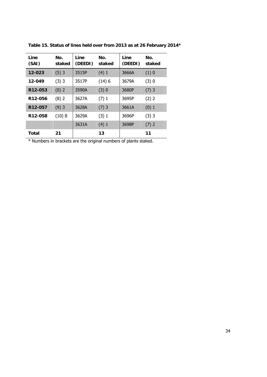| Line<br>(SAI)        | No.<br>staked | Line<br>(DEEDI) | No.<br>staked | Line<br>(DEEDI) | No.<br>staked |
|----------------------|---------------|-----------------|---------------|-----------------|---------------|
| 12-023               | (5)3          | 3515P           | (4)1          | 3666A           | (1)0          |
| 12-049               | $(3)$ 3       | 3517P           | (14)6         | 3679A           | (3)0          |
| R <sub>12</sub> -053 | (0) 2         | 3590A           | (3)0          | 3680P           | $(7)$ 3       |
| R12-056              | $(8)$ 2       | 3627A           | (7)1          | 3695P           | (2) 2         |
| R <sub>12</sub> -057 | (9)3          | 3628A           | $(7)$ 3       | 3661A           | (0) 1         |
| R <sub>12</sub> -058 | (10)8         | 3629A           | (3) 1         | 3696P           | $(3)$ 3       |
|                      |               | 3631A           | (4)1          | 3698P           | (7) 2         |
| Total                | 21            |                 | 13            |                 | 11            |

**Table 15. Status of lines held over from 2013 as at 26 February 2014\*** 

\* Numbers in brackets are the original numbers of plants staked.